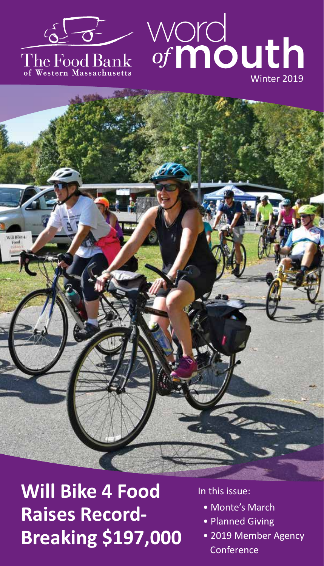

# The Food Bank<br>of Western Massachusetts





**Will Bike 4 Food Raises Record-Breaking \$197,000**

In this issue:

- Monte's March
- Planned Giving
- 2019 Member Agency Conference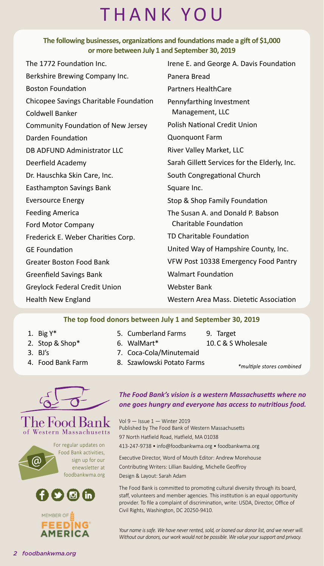## THANK YOU

#### **The following businesses, organizations and foundations made a gift of \$1,000 or more between July 1 and September 30, 2019**

| The 1772 Foundation Inc.               | Irene E. and George A. Davis Foundation      |
|----------------------------------------|----------------------------------------------|
| Berkshire Brewing Company Inc.         | Panera Bread                                 |
| <b>Boston Foundation</b>               | <b>Partners HealthCare</b>                   |
| Chicopee Savings Charitable Foundation | Pennyfarthing Investment                     |
| Coldwell Banker                        | Management, LLC                              |
| Community Foundation of New Jersey     | Polish National Credit Union                 |
| Darden Foundation                      | <b>Quonquont Farm</b>                        |
| DB ADFUND Administrator LLC            | River Valley Market, LLC                     |
| Deerfield Academy                      | Sarah Gillett Services for the Elderly, Inc. |
| Dr. Hauschka Skin Care, Inc.           | South Congregational Church                  |
| Easthampton Savings Bank               | Square Inc.                                  |
| <b>Eversource Energy</b>               | Stop & Shop Family Foundation                |
| <b>Feeding America</b>                 | The Susan A. and Donald P. Babson            |
| Ford Motor Company                     | Charitable Foundation                        |
| Frederick E. Weber Charities Corp.     | TD Charitable Foundation                     |
| <b>GE Foundation</b>                   | United Way of Hampshire County, Inc.         |
| Greater Boston Food Bank               | VFW Post 10338 Emergency Food Pantry         |
| Greenfield Savings Bank                | <b>Walmart Foundation</b>                    |
| Greylock Federal Credit Union          | <b>Webster Bank</b>                          |
| Health New England                     | Western Area Mass. Dietetic Association      |
|                                        |                                              |

#### **The top food donors between July 1 and September 30, 2019**

1. Big Y\*

3. BJ's

- 2. Stop & Shop\*
- 6. WalMart\*

5. Cumberland Farms

- 9. Target
- 10.C & S Wholesale
- 7. Coca-Cola/Minutemaid
- 4. Food Bank Farm
- 
- 8. Szawlowski Potato Farms
- *\*multiple stores combined*



#### The Food Bank Western Massachusetts

For regular updates on Food Bank activities, sign up for our enewsletter at foodbankwma.org





#### *The Food Bank's vision is a western Massachusetts where no one goes hungry and everyone has access to nutritious food.*

Vol 9 — Issue 1 — Winter 2019 Published by The Food Bank of Western Massachusetts 97 North Hatfield Road, Hatfield, MA 01038 413-247-9738 • info@foodbankwma.org • foodbankwma.org

Executive Director, Word of Mouth Editor: Andrew Morehouse Contributing Writers: Lillian Baulding, Michelle Geoffroy Design & Layout: Sarah Adam

The Food Bank is committed to promoting cultural diversity through its board, staff, volunteers and member agencies. This institution is an equal opportunity provider. To file a complaint of discrimination, write: USDA, Director, Office of Civil Rights, Washington, DC 20250-9410.

*Your name is safe. We have never rented, sold, or loaned our donor list, and we never will. Without our donors, our work would not be possible. We value your support and privacy.*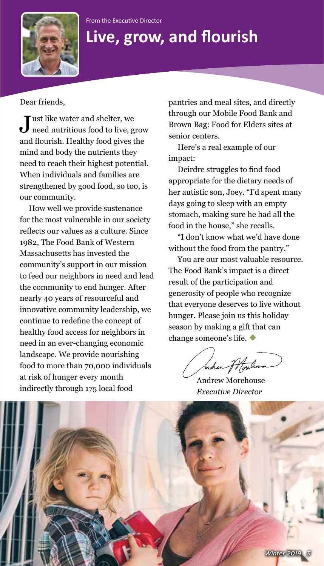#### From the Executive Director



## **Live, grow, and flourish**

Dear friends,

 $\blacksquare$ ust like water and shelter, we  $\bigcup$  need nutritious food to live, grow and flourish. Healthy food gives the mind and body the nutrients they need to reach their highest potential. When individuals and families are strengthened by good food, so too, is our community.

How well we provide sustenance for the most vulnerable in our society reflects our values as a culture. Since 1982, The Food Bank of Western Massachusetts has invested the community's support in our mission to feed our neighbors in need and lead the community to end hunger. After nearly 40 years of resourceful and innovative community leadership, we continue to redefine the concept of healthy food access for neighbors in need in an ever-changing economic landscape. We provide nourishing food to more than 70,000 individuals at risk of hunger every month indirectly through 175 local food

pantries and meal sites, and directly through our Mobile Food Bank and Brown Bag: Food for Elders sites at senior centers.

Here's a real example of our impact:

Deirdre struggles to find food appropriate for the dietary needs of her autistic son, Joey. "I'd spent many days going to sleep with an empty stomach, making sure he had all the food in the house," she recalls.

"I don't know what we'd have done without the food from the pantry."

You are our most valuable resource. The Food Bank's impact is a direct result of the participation and generosity of people who recognize that everyone deserves to live without hunger. Please join us this holiday season by making a gift that can change someone's life.

indien fffort

Andrew Morehouse *Executive Director*

*Winter 2019*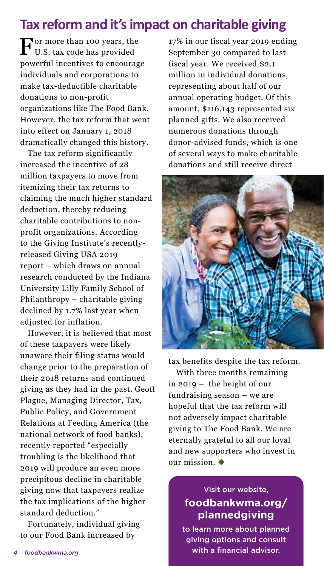#### **Tax reform and it's impact on charitable giving**

For more than 100 years, the U.S. tax code has provided powerful incentives to encourage individuals and corporations to make tax-deductible charitable donations to non-profit organizations like The Food Bank. However, the tax reform that went into effect on January 1, 2018 dramatically changed this history.

The tax reform significantly increased the incentive of 28 million taxpayers to move from itemizing their tax returns to claiming the much higher standard deduction, thereby reducing charitable contributions to nonprofit organizations. According to the Giving Institute's recentlyreleased Giving USA 2019 report – which draws on annual research conducted by the Indiana University Lilly Family School of Philanthropy – charitable giving declined by 1.7% last year when adjusted for inflation.

However, it is believed that most of these taxpayers were likely unaware their filing status would change prior to the preparation of their 2018 returns and continued giving as they had in the past. Geoff Plague, Managing Director, Tax, Public Policy, and Government Relations at Feeding America (the national network of food banks), recently reported "especially troubling is the likelihood that 2019 will produce an even more precipitous decline in charitable giving now that taxpayers realize the tax implications of the higher standard deduction."

Fortunately, individual giving to our Food Bank increased by

17% in our fiscal year 2019 ending September 30 compared to last fiscal year. We received \$2.1 million in individual donations, representing about half of our annual operating budget. Of this amount, \$116,143 represented six planned gifts. We also received numerous donations through donor-advised funds, which is one of several ways to make charitable donations and still receive direct



tax benefits despite the tax reform. With three months remaining in 2019 – the height of our fundraising season – we are hopeful that the tax reform will not adversely impact charitable giving to The Food Bank. We are eternally grateful to all our loyal and new supporters who invest in our mission.  $\blacklozenge$ 

#### Visit our website, **foodbankwma.org/ plannedgiving**

to learn more about planned giving options and consult *4 foodbankwma.org* with a financial advisor.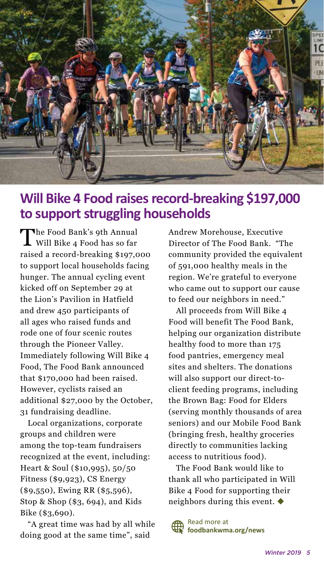

#### **Will Bike 4 Food raises record-breaking \$197,000 to support struggling households**

The Food Bank's 9th Annual<br>Will Bike 4 Food has so far raised a record-breaking \$197,000 to support local households facing hunger. The annual cycling event kicked off on September 29 at the Lion's Pavilion in Hatfield and drew 450 participants of all ages who raised funds and rode one of four scenic routes through the Pioneer Valley. Immediately following Will Bike 4 Food, The Food Bank announced that \$170,000 had been raised. However, cyclists raised an additional \$27,000 by the October, 31 fundraising deadline.

Local organizations, corporate groups and children were among the top-team fundraisers recognized at the event, including: Heart & Soul (\$10,995), 50/50 Fitness (\$9,923), CS Energy (\$9,550), Ewing RR (\$5,596), Stop & Shop (\$3, 694), and Kids Bike (\$3,690).

"A great time was had by all while doing good at the same time", said

Andrew Morehouse, Executive Director of The Food Bank. "The community provided the equivalent of 591,000 healthy meals in the region. We're grateful to everyone who came out to support our cause to feed our neighbors in need."

All proceeds from Will Bike 4 Food will benefit The Food Bank, helping our organization distribute healthy food to more than 175 food pantries, emergency meal sites and shelters. The donations will also support our direct-toclient feeding programs, including the Brown Bag: Food for Elders (serving monthly thousands of area seniors) and our Mobile Food Bank (bringing fresh, healthy groceries directly to communities lacking access to nutritious food).

The Food Bank would like to thank all who participated in Will Bike 4 Food for supporting their neighbors during this event.

Read more at **foodbankwma.org/news**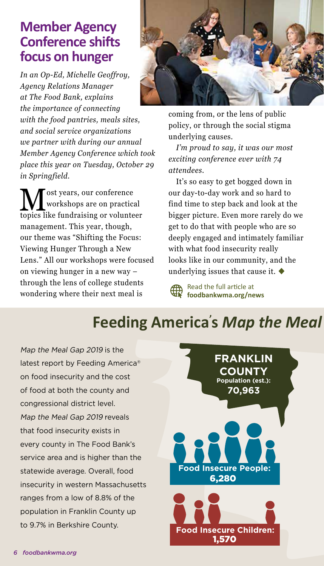#### **Member Agency Conference shifts focus on hunger**

*In an Op-Ed, Michelle Geoffroy, Agency Relations Manager at The Food Bank, explains the importance of connecting with the food pantries, meals sites, and social service organizations we partner with during our annual Member Agency Conference which took place this year on Tuesday, October 29 in Springfield.*

 $\displaystyle\prod_{\text{works}~\text{over}~\text{long}~\text{are}~\text{on}~\text{practical}}$ workshops are on practical management. This year, though, our theme was "Shifting the Focus: Viewing Hunger Through a New Lens." All our workshops were focused on viewing hunger in a new way – through the lens of college students wondering where their next meal is



coming from, or the lens of public policy, or through the social stigma underlying causes.

*I'm proud to say, it was our most exciting conference ever with 74 attendees.*

It's so easy to get bogged down in our day-to-day work and so hard to find time to step back and look at the bigger picture. Even more rarely do we get to do that with people who are so deeply engaged and intimately familiar with what food insecurity really looks like in our community, and the underlying issues that cause it.  $\blacklozenge$ 

Read the full article at **foodbankwma.org/news**

## **Feeding America's Map the Meal**

Map the Meal Gap 2019 is the latest report by Feeding America® on food insecurity and the cost of food at both the county and congressional district level. Map the Meal Gap 2019 reveals that food insecurity exists in every county in The Food Bank's service area and is higher than the statewide average. Overall, food insecurity in western Massachusetts ranges from a low of 8.8% of the population in Franklin County up to 9.7% in Berkshire County.

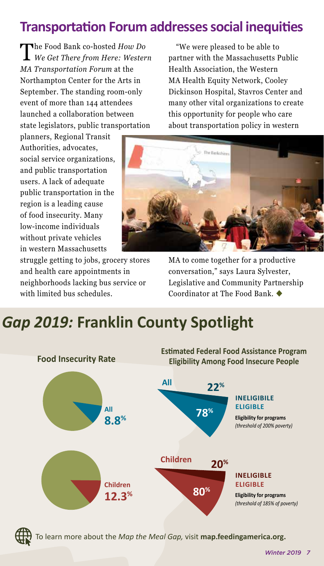### **Transportation Forum addresses social inequities**

The Food Bank co-hosted *How Do We Get There from Here: Western MA Transportation Forum* at the Northampton Center for the Arts in September. The standing room-only event of more than 144 attendees launched a collaboration between state legislators, public transportation

planners, Regional Transit Authorities, advocates, social service organizations, and public transportation users. A lack of adequate public transportation in the region is a leading cause of food insecurity. Many low-income individuals without private vehicles in western Massachusetts

struggle getting to jobs, grocery stores and health care appointments in neighborhoods lacking bus service or with limited bus schedules.

"We were pleased to be able to partner with the Massachusetts Public Health Association, the Western MA Health Equity Network, Cooley Dickinson Hospital, Stavros Center and many other vital organizations to create this opportunity for people who care about transportation policy in western



MA to come together for a productive conversation," says Laura Sylvester, Legislative and Community Partnership Coordinator at The Food Bank.

## **s** *Map the Meal Gap 2019:* **Franklin County Spotlight**





To learn more about the *Map the Meal Gap,* visit **map.feedingamerica.org.**